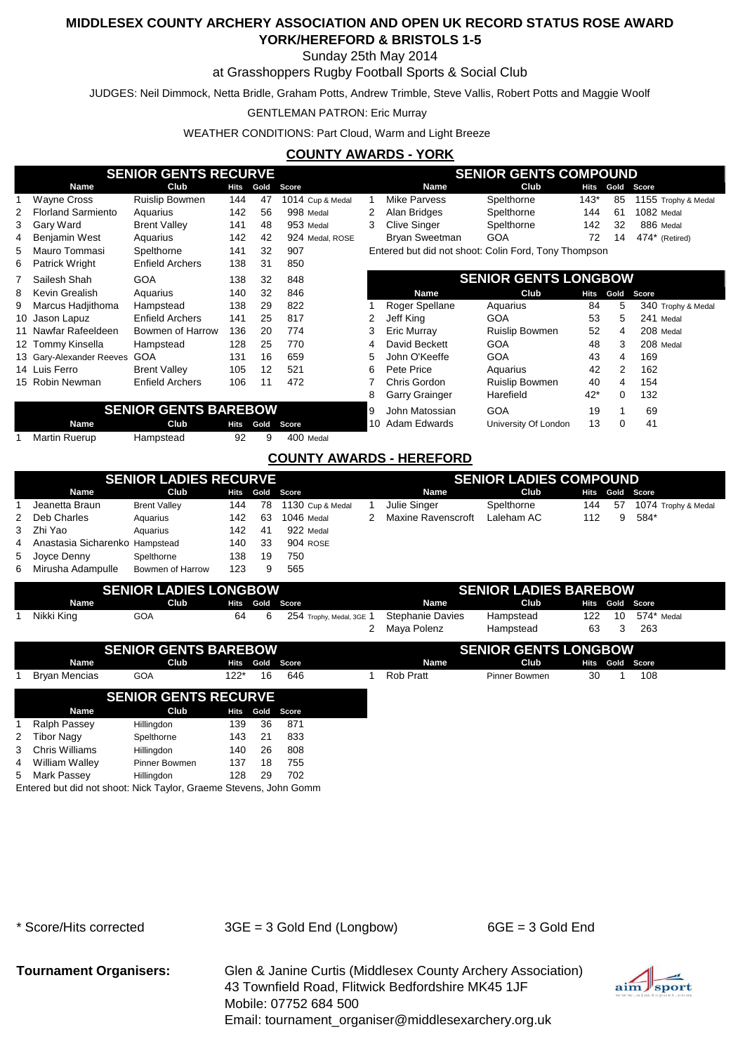### Sunday 25th May 2014

#### at Grasshoppers Rugby Football Sports & Social Club

JUDGES: Neil Dimmock, Netta Bridle, Graham Potts, Andrew Trimble, Steve Vallis, Robert Potts and Maggie Woolf

#### GENTLEMAN PATRON: Eric Murray

WEATHER CONDITIONS: Part Cloud, Warm and Light Breeze

### **COUNTY AWARDS - YORK**

|                                           |                           | <b>SENIOR GENTS RECURVE</b>                |             |                |                  |                      |                       | <b>SENIOR GENTS COMPOUND</b>                         |             |      |                     |
|-------------------------------------------|---------------------------|--------------------------------------------|-------------|----------------|------------------|----------------------|-----------------------|------------------------------------------------------|-------------|------|---------------------|
|                                           | Name                      | Club                                       | <b>Hits</b> | Gold           | Score            |                      | <b>Name</b>           | Club                                                 | Hits        | Gold | Score               |
|                                           | <b>Wayne Cross</b>        | <b>Ruislip Bowmen</b>                      | 144         | 47             | 1014 Cup & Medal |                      | Mike Parvess          | Spelthorne                                           | $143*$      | 85   | 1155 Trophy & Medal |
| 2                                         | <b>Florland Sarmiento</b> | Aquarius                                   | 142         | 56             | 998 Medal        | 2                    | Alan Bridges          | Spelthorne                                           | 144         | 61   | 1082 Medal          |
| 3.                                        | Gary Ward                 | <b>Brent Valley</b>                        | 141         | 48             | 953 Medal        | 3                    | <b>Clive Singer</b>   | Spelthorne                                           | 142         | 32   | 886 Medal           |
| 4                                         | Benjamin West             | Aquarius                                   | 142         | 42             | 924 Medal, ROSE  |                      | Bryan Sweetman        | <b>GOA</b>                                           | 72          | 14   | 474* (Retired)      |
| 5                                         | Mauro Tommasi             | Spelthorne                                 | 141         | 32             | 907              |                      |                       | Entered but did not shoot: Colin Ford, Tony Thompson |             |      |                     |
| 6                                         | <b>Patrick Wright</b>     | <b>Enfield Archers</b><br>31<br>138<br>850 |             |                |                  |                      |                       |                                                      |             |      |                     |
|                                           | Sailesh Shah              | 32<br>GOA<br>138<br>848                    |             |                |                  |                      |                       | <b>SENIOR GENTS LONGBOW</b>                          |             |      |                     |
| 8                                         | Kevin Grealish            | Aquarius                                   | 140         | 32             | 846              |                      | <b>Name</b>           | Club                                                 | <b>Hits</b> | Gold | Score               |
| 9                                         | Marcus Hadjithoma         | Hampstead                                  | 138         | 29             | 822              |                      | Roger Spellane        | Aquarius                                             | 84          | 5    | 340 Trophy & Medal  |
|                                           | 10 Jason Lapuz            | <b>Enfield Archers</b>                     | 141         | 25             | 817              | 2                    | Jeff King             | <b>GOA</b>                                           | 53          | 5    | 241 Medal           |
|                                           | 11 Nawfar Rafeeldeen      | Bowmen of Harrow                           | 136         | 20             | 774              | 3                    | Eric Murray           | <b>Ruislip Bowmen</b>                                | 52          | 4    | 208 Medal           |
|                                           | 12 Tommy Kinsella         | Hampstead                                  | 128         | 25             | 770              | 4                    | David Beckett         | <b>GOA</b>                                           | 48          | 3    | 208 Medal           |
|                                           | 13 Gary-Alexander Reeves  | <b>GOA</b>                                 | 131         | 16             | 659              | 5                    | John O'Keeffe         | <b>GOA</b>                                           | 43          | 4    | 169                 |
|                                           | 14 Luis Ferro             | <b>Brent Vallev</b>                        | 105         | 12             | 521              | 6                    | Pete Price            | Aquarius                                             | 42          | 2    | 162                 |
|                                           | 15 Robin Newman           | <b>Enfield Archers</b>                     | 106         | 11             | 472              |                      | Chris Gordon          | <b>Ruislip Bowmen</b>                                | 40          | 4    | 154                 |
|                                           |                           |                                            |             |                |                  | 8                    | <b>Garry Grainger</b> | Harefield                                            | $42*$       | 0    | 132                 |
| <b>SENIOR GENTS BAREBOW</b>               |                           |                                            | 9           | John Matossian | <b>GOA</b>       | 19                   |                       | 69                                                   |             |      |                     |
| <b>Name</b><br>Club<br>Hits<br>Gold Score |                           |                                            |             | 10             | Adam Edwards     | University Of London | 13                    | 0                                                    | 41          |      |                     |

1 Martin Ruerup Hampstead 92 9

#### **COUNTY AWARDS - HEREFORD**

400 Medal

|                                  | <b>SENIOR LADIES RECURVE</b> |      |     |                  |   |                    | <b>SENIOR LADIES COMPOUND</b> |      |    |                     |
|----------------------------------|------------------------------|------|-----|------------------|---|--------------------|-------------------------------|------|----|---------------------|
| <b>Name</b>                      | Club                         | Hits |     | Gold Score       |   | Name               | Club                          | Hits |    | Gold Score          |
| Jeanetta Braun                   | <b>Brent Valley</b>          | 144  | 78  | 1130 Cup & Medal |   | Julie Singer       | Spelthorne                    | 144  | 57 | 1074 Trophy & Medal |
| 2 Deb Charles                    | Aquarius                     | 142  | -63 | 1046 Medal       | 2 | Maxine Ravenscroft | Laleham AC                    | 112  | 9  | 584*                |
| 3 Zhi Yao                        | Aguarius                     | 142. | -41 | 922 Medal        |   |                    |                               |      |    |                     |
| 4 Anastasia Sicharenko Hampstead |                              | 140  | -33 | 904 ROSE         |   |                    |                               |      |    |                     |
| 5 Joyce Denny                    | Spelthorne                   | 138  | 19  | 750              |   |                    |                               |      |    |                     |
| 6 Mirusha Adampulle              | Bowmen of Harrow             | 123  |     | 565              |   |                    |                               |      |    |                     |

|                      | <b>SENIOR LADIES LONGBOW</b> |      |        |    |            |                          |                         | <b>SENIOR LADIES BAREBOW</b> |      |    |            |  |
|----------------------|------------------------------|------|--------|----|------------|--------------------------|-------------------------|------------------------------|------|----|------------|--|
| <b>Name</b>          |                              | Club | Hits   |    | Gold Score |                          | <b>Name</b>             | Club                         | Hits |    | Gold Score |  |
| Nikki King           | <b>GOA</b>                   |      | 64     | 6  |            | 254 Trophy, Medal, 3GE 1 | <b>Stephanie Davies</b> | Hampstead                    | 122  | 10 | 574* Medal |  |
|                      |                              |      |        |    |            | $\mathbf{2}$             | Maya Polenz             | Hampstead                    | 63   | 3  | 263        |  |
|                      | <b>SENIOR GENTS BAREBOW</b>  |      |        |    |            |                          |                         | <b>SENIOR GENTS LONGBOW</b>  |      |    |            |  |
| Name                 |                              | Club | Hits   |    | Gold Score |                          | Name                    | Club                         | Hits |    | Gold Score |  |
| <b>Bryan Mencias</b> | <b>GOA</b>                   |      | $122*$ | 16 | 646        |                          | Rob Pratt               | <b>Pinner Bowmen</b>         | 30   |    | 108        |  |
|                      | <b>SENIOR GENTS RECURVE</b>  |      |        |    |            |                          |                         |                              |      |    |            |  |
| Name                 |                              | Club | Hits   |    | Gold Score |                          |                         |                              |      |    |            |  |
| Ralph Passey         | Hillingdon                   |      | 139    | 36 | 871        |                          |                         |                              |      |    |            |  |

| 4 William Walley                                                  | <b>Pinner Bowmen</b> | 137 | 18.  | 755 |
|-------------------------------------------------------------------|----------------------|-----|------|-----|
| 5 Mark Passey                                                     | <b>Hillingdon</b>    | 128 | - 29 | 702 |
| Entered but did not shoot: Nick Taylor, Graeme Stevens, John Gomm |                      |     |      |     |
|                                                                   |                      |     |      |     |

2 Tibor Nagy Spelthorne 143 21 833 3 Chris Williams Hillingdon 140 26 808

\* Score/Hits corrected 3GE = 3 Gold End (Longbow) 6GE = 3 Gold End

**Tournament Organisers:** Glen & Janine Curtis (Middlesex County Archery Association) 43 Townfield Road, Flitwick Bedfordshire MK45 1JF Mobile: 07752 684 500 Email: tournament\_organiser@middlesexarchery.org.uk

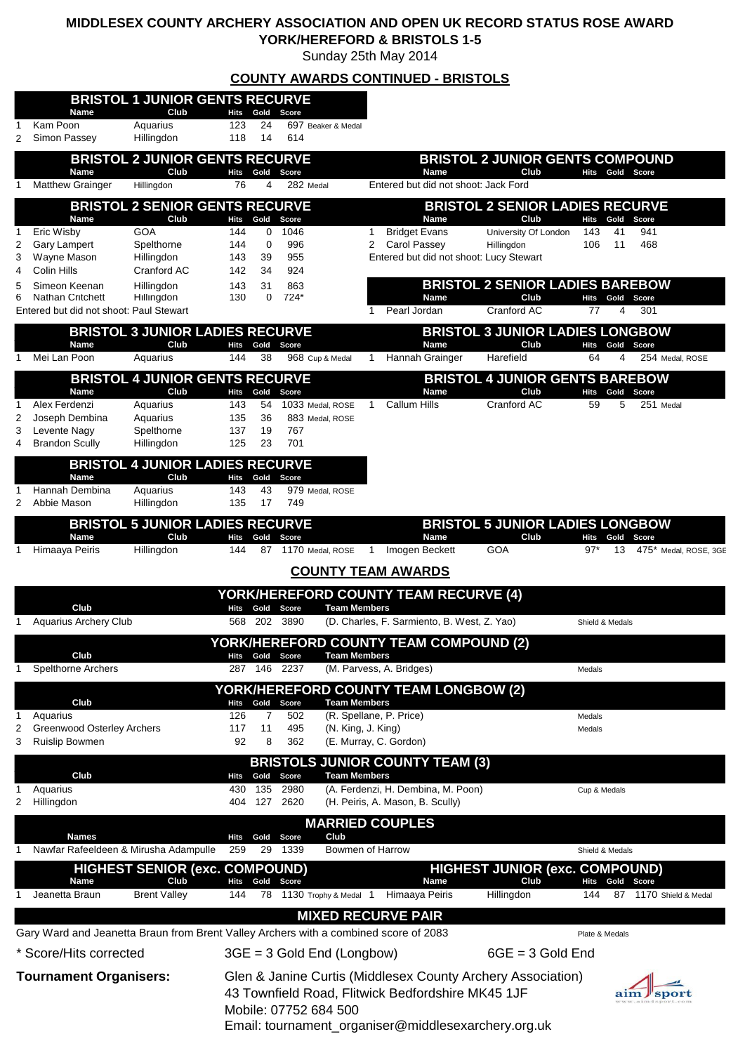Sunday 25th May 2014

|        |                                                                                      |                                                |                    |                        |                                           |   | <b>COUNTY AWARDS CONTINUED - BRISTOLS</b>                                                                        |                                                |                             |                                |
|--------|--------------------------------------------------------------------------------------|------------------------------------------------|--------------------|------------------------|-------------------------------------------|---|------------------------------------------------------------------------------------------------------------------|------------------------------------------------|-----------------------------|--------------------------------|
|        | <b>Name</b>                                                                          | <b>BRISTOL 1 JUNIOR GENTS RECURVE</b><br>Club  | Hits               | Gold                   | Score                                     |   |                                                                                                                  |                                                |                             |                                |
| 1<br>2 | Kam Poon<br>Simon Passey                                                             | Aquarius<br>Hillingdon                         | 123<br>118         | 24<br>14               | 697 Beaker & Medal<br>614                 |   |                                                                                                                  |                                                |                             |                                |
|        | <b>Name</b>                                                                          | <b>BRISTOL 2 JUNIOR GENTS RECURVE</b><br>Club  | <b>Hits</b>        | Gold                   | Score                                     |   | <b>Name</b>                                                                                                      | <b>BRISTOL 2 JUNIOR GENTS COMPOUND</b><br>Club | Hits                        | Gold Score                     |
| 1      | <b>Matthew Grainger</b>                                                              | Hillingdon                                     | 76                 | 4                      | 282 Medal                                 |   | Entered but did not shoot: Jack Ford                                                                             |                                                |                             |                                |
|        | Name                                                                                 | <b>BRISTOL 2 SENIOR GENTS RECURVE</b><br>Club  | Hits               | Gold                   | Score                                     |   | Name                                                                                                             | <b>BRISTOL 2 SENIOR LADIES RECURVE</b><br>Club | Hits<br>Gold                | Score                          |
| 1      | Eric Wisby                                                                           | <b>GOA</b>                                     | 144                | $\Omega$               | 1046                                      | 1 | <b>Bridget Evans</b>                                                                                             | University Of London                           | 143<br>41                   | 941                            |
| 2<br>3 | <b>Gary Lampert</b><br>Wayne Mason                                                   | Spelthorne<br>Hillingdon                       | 144<br>143         | $\mathbf 0$<br>39      | 996<br>955                                | 2 | Carol Passey<br>Entered but did not shoot: Lucy Stewart                                                          | Hillingdon                                     | 106<br>11                   | 468                            |
| 4<br>5 | Colin Hills<br>Simeon Keenan                                                         | Cranford AC<br>Hillingdon                      | 142<br>143         | 34<br>31               | 924<br>863                                |   |                                                                                                                  | <b>BRISTOL 2 SENIOR LADIES BAREBOW</b>         |                             |                                |
| 6      | <b>Nathan Critchett</b><br>Entered but did not shoot: Paul Stewart                   | Hillingdon                                     | 130                | 0                      | $724*$                                    | 1 | <b>Name</b><br>Pearl Jordan                                                                                      | Club<br>Cranford AC                            | Gold<br>Hits<br>77<br>4     | Score<br>301                   |
|        |                                                                                      | <b>BRISTOL 3 JUNIOR LADIES RECURVE</b>         |                    |                        |                                           |   |                                                                                                                  | <b>BRISTOL 3 JUNIOR LADIES LONGBOW</b>         |                             |                                |
| 1      | Name<br>Mei Lan Poon                                                                 | Club<br>Aquarius                               | <b>Hits</b><br>144 | Gold<br>38             | Score<br>968 Cup & Medal                  | 1 | <b>Name</b><br>Hannah Grainger                                                                                   | Club<br>Harefield                              | Hits<br>Gold<br>64<br>4     | Score<br>254 Medal, ROSE       |
|        |                                                                                      | <b>BRISTOL 4 JUNIOR GENTS RECURVE</b>          |                    |                        |                                           |   |                                                                                                                  | <b>BRISTOL 4 JUNIOR GENTS BAREBOW</b>          |                             |                                |
| 1      | Name<br>Alex Ferdenzi                                                                | Club<br>Aquarius                               | Hits<br>143        | Gold<br>54             | Score<br>1033 Medal, ROSE                 | 1 | <b>Name</b><br><b>Callum Hills</b>                                                                               | Club<br>Cranford AC                            | Hits Gold Score<br>59<br>5  | 251 Medal                      |
| 2<br>3 | Joseph Dembina<br>Levente Nagy                                                       | Aquarius<br>Spelthorne                         | 135<br>137         | 36<br>19               | 883 Medal, ROSE<br>767                    |   |                                                                                                                  |                                                |                             |                                |
| 4      | <b>Brandon Scully</b>                                                                | Hillingdon                                     | 125                | 23                     | 701                                       |   |                                                                                                                  |                                                |                             |                                |
|        | Name                                                                                 | <b>BRISTOL 4 JUNIOR LADIES RECURVE</b><br>Club | Hits               | Gold                   | Score                                     |   |                                                                                                                  |                                                |                             |                                |
| 2      | Hannah Dembina<br>Abbie Mason                                                        | Aquarius<br>Hillingdon                         | 143<br>135         | 43<br>17               | 979 Medal, ROSE<br>749                    |   |                                                                                                                  |                                                |                             |                                |
|        |                                                                                      | <b>BRISTOL 5 JUNIOR LADIES RECURVE</b>         |                    |                        |                                           |   |                                                                                                                  | <b>BRISTOL 5 JUNIOR LADIES LONGBOW</b>         |                             |                                |
| 1      | Name<br>Himaaya Peiris                                                               | Club<br>Hillingdon                             | Hits<br>144        | Gold<br>87             | Score<br>1170 Medal, ROSE                 | 1 | <b>Name</b><br>Imogen Beckett                                                                                    | Club<br>GOA                                    | Hits<br>Gold<br>$97*$<br>13 | Score<br>475* Medal, ROSE, 3GE |
|        |                                                                                      |                                                |                    |                        | <b>COUNTY TEAM AWARDS</b>                 |   |                                                                                                                  |                                                |                             |                                |
|        |                                                                                      |                                                |                    |                        |                                           |   | YORK/HEREFORD COUNTY TEAM RECURVE (4)                                                                            |                                                |                             |                                |
| 1      | Club<br><b>Aquarius Archery Club</b>                                                 |                                                | Hits<br>568        | Gold<br>202            | <b>Team Members</b><br>Score<br>3890      |   | (D. Charles, F. Sarmiento, B. West, Z. Yao)                                                                      |                                                |                             |                                |
|        |                                                                                      |                                                |                    |                        |                                           |   | YORK/HEREFORD COUNTY TEAM COMPOUND (2)                                                                           |                                                | Shield & Medals             |                                |
|        | Club<br><b>Spelthorne Archers</b>                                                    |                                                | Hits<br>287        | Gold<br>146            | <b>Team Members</b><br>Score<br>2237      |   | (M. Parvess, A. Bridges)                                                                                         |                                                |                             |                                |
| 1      |                                                                                      |                                                |                    |                        |                                           |   | <b>YORK/HEREFORD COUNTY TEAM LONGBOW (2)</b>                                                                     |                                                | Medals                      |                                |
|        | Club                                                                                 |                                                | Hits<br>126        | Gold<br>$\overline{7}$ | <b>Team Members</b><br>Score              |   | (R. Spellane, P. Price)                                                                                          |                                                |                             |                                |
| 1<br>2 | Aquarius<br><b>Greenwood Osterley Archers</b>                                        |                                                | 117                | 11                     | 502<br>495<br>(N. King, J. King)          |   |                                                                                                                  |                                                | Medals<br>Medals            |                                |
| 3      | <b>Ruislip Bowmen</b>                                                                |                                                | 92                 | 8                      | 362                                       |   | (E. Murray, C. Gordon)                                                                                           |                                                |                             |                                |
|        | Club                                                                                 |                                                | Hits               | Gold                   | <b>Team Members</b><br>Score              |   | <b>BRISTOLS JUNIOR COUNTY TEAM (3)</b>                                                                           |                                                |                             |                                |
| 1<br>2 | Aquarius<br>Hillingdon                                                               |                                                | 430<br>404         | 135<br>127             | 2980<br>2620                              |   | (A. Ferdenzi, H. Dembina, M. Poon)<br>(H. Peiris, A. Mason, B. Scully)                                           |                                                | Cup & Medals                |                                |
|        |                                                                                      |                                                |                    |                        | <b>MARRIED COUPLES</b>                    |   |                                                                                                                  |                                                |                             |                                |
| 1      | <b>Names</b><br>Nawfar Rafeeldeen & Mirusha Adampulle                                |                                                | Hits<br>259        | Gold<br>29             | Club<br>Score<br>Bowmen of Harrow<br>1339 |   |                                                                                                                  |                                                | Shield & Medals             |                                |
|        |                                                                                      | <b>HIGHEST SENIOR (exc. COMPOUND)</b>          |                    |                        |                                           |   |                                                                                                                  | <b>HIGHEST JUNIOR (exc. COMPOUND)</b>          |                             |                                |
| 1      | Name<br>Jeanetta Braun                                                               | Club<br><b>Brent Valley</b>                    | Hits<br>144        | Gold<br>78             | Score<br>1130 Trophy & Medal 1            |   | Name<br>Himaaya Peiris                                                                                           | Club<br>Hillingdon                             | Hits<br>Gold<br>144<br>87   | Score<br>1170 Shield & Medal   |
|        |                                                                                      |                                                |                    |                        |                                           |   | <b>MIXED RECURVE PAIR</b>                                                                                        |                                                |                             |                                |
|        | Gary Ward and Jeanetta Braun from Brent Valley Archers with a combined score of 2083 |                                                |                    |                        |                                           |   |                                                                                                                  |                                                | Plate & Medals              |                                |
|        | * Score/Hits corrected                                                               |                                                |                    |                        | $3GE = 3$ Gold End (Longbow)              |   |                                                                                                                  | $6GE = 3$ Gold End                             |                             |                                |
|        | <b>Tournament Organisers:</b>                                                        |                                                |                    |                        |                                           |   | Glen & Janine Curtis (Middlesex County Archery Association)<br>43 Townfield Road, Flitwick Bedfordshire MK45 1JF |                                                |                             |                                |
|        |                                                                                      |                                                |                    |                        | Mobile: 07752 684 500                     |   |                                                                                                                  |                                                |                             |                                |
|        |                                                                                      |                                                |                    |                        |                                           |   | Email: tournament_organiser@middlesexarchery.org.uk                                                              |                                                |                             |                                |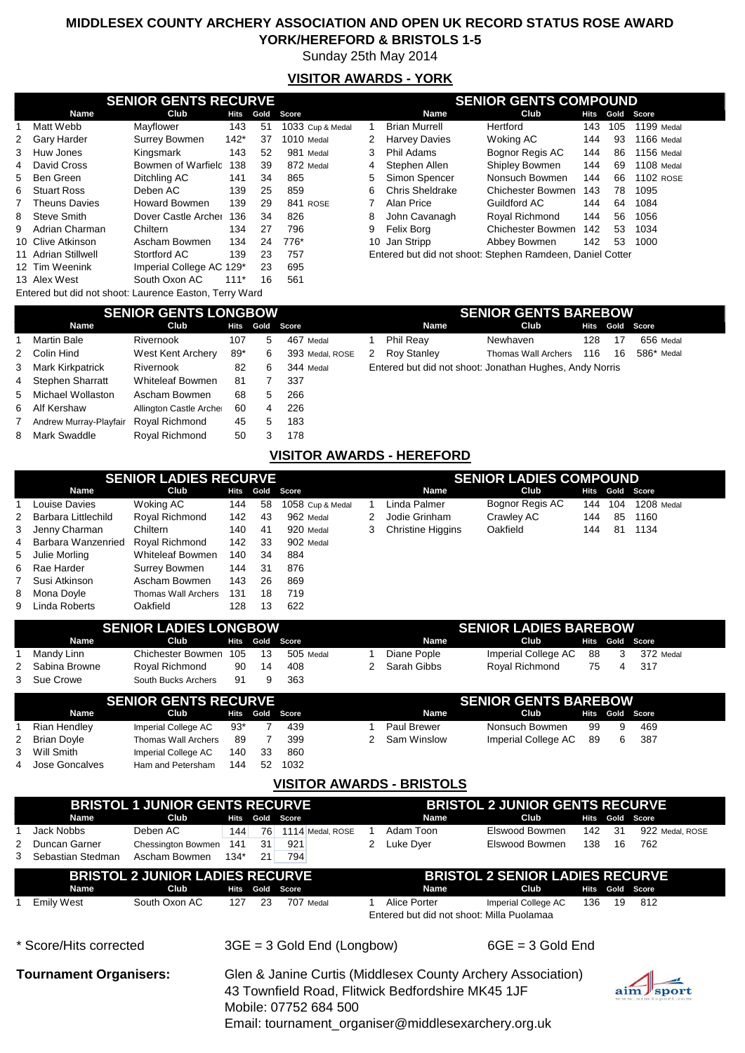Sunday 25th May 2014

## **VISITOR AWARDS - YORK**

|                                                        | <b>SENIOR GENTS RECURVE</b> |        |      |                  |    |                                                           | <b>SENIOR GENTS COMPOUND</b><br>Club<br>Gold<br>Score<br>Hits<br>Hertford<br>1199 Medal<br>143<br>105<br>1166 Medal<br>Woking AC<br>144<br>93 |     |    |                   |  |  |  |
|--------------------------------------------------------|-----------------------------|--------|------|------------------|----|-----------------------------------------------------------|-----------------------------------------------------------------------------------------------------------------------------------------------|-----|----|-------------------|--|--|--|
| <b>Name</b>                                            | Club                        | Hits   | Gold | Score            |    | <b>Name</b>                                               |                                                                                                                                               |     |    |                   |  |  |  |
| Matt Webb                                              | Mayflower                   | 143    | 51   | 1033 Cup & Medal |    | <b>Brian Murrell</b>                                      |                                                                                                                                               |     |    |                   |  |  |  |
| 2 Gary Harder                                          | <b>Surrey Bowmen</b>        | $142*$ | 37   | 1010 Medal       | 2  | <b>Harvey Davies</b>                                      |                                                                                                                                               |     |    |                   |  |  |  |
| 3 Huw Jones                                            | Kingsmark                   | 143    | 52   | 981 Medal        | 3  | Phil Adams                                                | Bognor Regis AC                                                                                                                               | 144 | 86 | <b>1156 Medal</b> |  |  |  |
| 4 David Cross                                          | Bowmen of Warfield          | 138    | 39   | 872 Medal        | 4  | Stephen Allen                                             | Shipley Bowmen                                                                                                                                | 144 | 69 | 1108 Medal        |  |  |  |
| 5 Ben Green                                            | Ditchling AC                | 141    | 34   | 865              | 5. | Simon Spencer                                             | Nonsuch Bowmen                                                                                                                                | 144 | 66 | <b>1102 ROSE</b>  |  |  |  |
| 6 Stuart Ross                                          | Deben AC                    | 139    | 25   | 859              | 6  | <b>Chris Sheldrake</b>                                    | <b>Chichester Bowmen</b>                                                                                                                      | 143 | 78 | 1095              |  |  |  |
| 7 Theuns Davies                                        | <b>Howard Bowmen</b>        | 139    | 29   | 841 ROSE         |    | Alan Price                                                | Guildford AC                                                                                                                                  | 144 | 64 | 1084              |  |  |  |
| 8 Steve Smith                                          | Dover Castle Archer         | 136    | 34   | 826              | 8  | John Cavanagh                                             | Roval Richmond                                                                                                                                | 144 | 56 | 1056              |  |  |  |
| 9 Adrian Charman                                       | Chiltern                    | 134    | 27   | 796              | 9  | Felix Borg                                                | <b>Chichester Bowmen</b>                                                                                                                      | 142 | 53 | 1034              |  |  |  |
| 10 Clive Atkinson                                      | Ascham Bowmen               | 134    | 24   | 776*             |    | 10 Jan Stripp                                             | Abbey Bowmen                                                                                                                                  | 142 | 53 | 1000              |  |  |  |
| 11 Adrian Stillwell                                    | Stortford AC                | 139    | 23   | 757              |    | Entered but did not shoot: Stephen Ramdeen, Daniel Cotter |                                                                                                                                               |     |    |                   |  |  |  |
| 12 Tim Weenink                                         | Imperial College AC 129*    |        | 23   | 695              |    |                                                           |                                                                                                                                               |     |    |                   |  |  |  |
| 13 Alex West                                           | South Oxon AC               | $111*$ | 16   | 561              |    |                                                           |                                                                                                                                               |     |    |                   |  |  |  |
| Entered but did not shoot: Laurence Easton, Terry Ward |                             |        |      |                  |    |                                                           |                                                                                                                                               |     |    |                   |  |  |  |

|                      |         |                     |                  | <b>SENIOR GENTS COMPOUND</b> |                      |                          |      |      |                  |                                                                    |  |  |  |
|----------------------|---------|---------------------|------------------|------------------------------|----------------------|--------------------------|------|------|------------------|--------------------------------------------------------------------|--|--|--|
| Club                 | Hits    | Gold                | Score            |                              | <b>Name</b>          | Club                     | Hits | Gold |                  |                                                                    |  |  |  |
| Mavflower            | 143     | 51                  | 1033 Cup & Medal |                              | <b>Brian Murrell</b> | Hertford                 | 143  | 105  | 1199 Medal       |                                                                    |  |  |  |
| Surrey Bowmen        | $142*$  | 37                  | 1010 Medal       | 2                            | <b>Harvey Davies</b> | Woking AC                | 144  | 93   | 1166 Medal       |                                                                    |  |  |  |
| Kingsmark            | 143     | 52                  | 981 Medal        | 3                            | Phil Adams           | Bognor Regis AC          | 144  | 86   | 1156 Medal       |                                                                    |  |  |  |
| Bowmen of Warfield   | 138     | 39                  | 872 Medal        | $\overline{4}$               | Stephen Allen        | Shipley Bowmen           | 144  | 69   | 1108 Medal       |                                                                    |  |  |  |
| Ditchling AC         | 141     | 34                  | 865              | 5                            | Simon Spencer        | Nonsuch Bowmen           | 144  | 66   | <b>1102 ROSE</b> |                                                                    |  |  |  |
| Deben AC             | 139     | 25                  | 859              | 6                            | Chris Sheldrake      | Chichester Bowmen        | 143  | 78   | 1095             |                                                                    |  |  |  |
| <b>Howard Bowmen</b> | 139     | 29                  | 841 ROSE         |                              | Alan Price           | Guildford AC             | 144  | 64   | 1084             |                                                                    |  |  |  |
|                      | 136     | 34                  | 826              | 8                            | John Cavanagh        | Royal Richmond           | 144  | 56   | 1056             |                                                                    |  |  |  |
| Chiltern             | 134     | 27                  | 796              | 9                            | Felix Borg           | <b>Chichester Bowmen</b> | 142  | 53   | 1034             |                                                                    |  |  |  |
| Ascham Bowmen        | 134     | 24                  | 776*             |                              | Jan Stripp           | Abbey Bowmen             | 142  | 53   | 1000             |                                                                    |  |  |  |
| Stortford AC         | 139     | 23                  | 757              |                              |                      |                          |      |      |                  |                                                                    |  |  |  |
|                      | harman: | Dover Castle Archer |                  | <b>SENIOR GENTS RECURVE</b>  |                      | 10                       |      |      |                  | Score<br>Entered but did not shoot: Stephen Ramdeen, Daniel Cotter |  |  |  |

Entered but did not shoot: Laurence Easton, Terry Ward

|   | <b>SENIOR GENTS LONGBOW</b> |                         |             |      |                 |  |  |  |  |  |  |  |  |  |  |
|---|-----------------------------|-------------------------|-------------|------|-----------------|--|--|--|--|--|--|--|--|--|--|
|   | <b>Name</b>                 | Club                    | <b>Hits</b> | Gold | Score           |  |  |  |  |  |  |  |  |  |  |
| 1 | <b>Martin Bale</b>          | Rivernook               | 107         | 5    | 467 Medal       |  |  |  |  |  |  |  |  |  |  |
| 2 | Colin Hind                  | West Kent Archery       | 89*         | 6    | 393 Medal, ROSE |  |  |  |  |  |  |  |  |  |  |
| 3 | Mark Kirkpatrick            | Rivernook               | 82          | 6    | 344 Medal       |  |  |  |  |  |  |  |  |  |  |
| 4 | <b>Stephen Sharratt</b>     | <b>Whiteleaf Bowmen</b> | 81          | 7    | 337             |  |  |  |  |  |  |  |  |  |  |
| 5 | Michael Wollaston           | Ascham Bowmen           | 68          | 5    | 266             |  |  |  |  |  |  |  |  |  |  |
| 6 | Alf Kershaw                 | Allington Castle Archer | 60          | 4    | 226             |  |  |  |  |  |  |  |  |  |  |
| 7 | Andrew Murray-Playfair      | Royal Richmond          | 45          | 5    | 183             |  |  |  |  |  |  |  |  |  |  |
| 8 | Mark Swaddle                | Royal Richmond          | 50          | 3    | 178             |  |  |  |  |  |  |  |  |  |  |

### **Name Club Hits Gold Score Name Club Hits Gold Score** 1 Martin Bale Rivernook 107 5 467 Medal 1 Phil Reay Newhaven 128 17 656 Medal 2 Roy Stanley Thomas Wall Archers 116 16 586\* Medal Entered but did not shoot: Jonathan Hughes, Andy Norris **SENIOR GENTS BAREBOW**<br>Club Hits Gold Score

### **VISITOR AWARDS - HEREFORD**

|                       | <b>SENIOR LADIES RECURVE</b> |      |     |                  |   |                          | <b>SENIOR LADIES COMPOUND</b> |      |     |            |
|-----------------------|------------------------------|------|-----|------------------|---|--------------------------|-------------------------------|------|-----|------------|
| Name                  | Club                         | Hits |     | Gold Score       |   | <b>Name</b>              | Club                          | Hits |     | Gold Score |
| Louise Davies         | Woking AC                    | 144  | 58  | 1058 Cup & Medal |   | Linda Palmer             | Bognor Regis AC               | 144  | 104 | 1208 Medal |
| 2 Barbara Littlechild | Royal Richmond               | 142  | 43  | 962 Medal        | 2 | Jodie Grinham            | Crawley AC                    | 144  | 85  | 1160       |
| 3 Jenny Charman       | Chiltern                     | 140  | 41  | 920 Medal        | 3 | <b>Christine Higgins</b> | Oakfield                      | 144  | 81  | 1134       |
| 4 Barbara Wanzenried  | Royal Richmond               | 142  | -33 | 902 Medal        |   |                          |                               |      |     |            |
| 5 Julie Morling       | <b>Whiteleaf Bowmen</b>      | 140  | 34  | 884              |   |                          |                               |      |     |            |
| 6 Rae Harder          | Surrey Bowmen                | 144  | -31 | 876              |   |                          |                               |      |     |            |
| 7 Susi Atkinson       | Ascham Bowmen                | 143  | 26  | 869              |   |                          |                               |      |     |            |
| 8 Mona Doyle          | Thomas Wall Archers          | 131  | 18  | 719              |   |                          |                               |      |     |            |
| 9 Linda Roberts       | Oakfield                     | 128  | 13  | 622              |   |                          |                               |      |     |            |

|                 | <b>SENIOR LADIES LONGBOW</b> |     |    |                        |             | <b>SENIOR LADIES BAREBOW</b> |    |                         |                 |
|-----------------|------------------------------|-----|----|------------------------|-------------|------------------------------|----|-------------------------|-----------------|
| <b>Name</b>     | Club                         |     |    | <b>Hits Gold Score</b> | <b>Name</b> | Club                         |    |                         | Hits Gold Score |
| Mandv Linn      | Chichester Bowmen            | 105 | 13 | 505 Medal              | Diane Pople | Imperial College AC          | 88 | $\overline{\mathbf{3}}$ | 372 Medal       |
| 2 Sabina Browne | Royal Richmond               | 90  | 14 | 408                    | Sarah Gibbs | Roval Richmond               | 75 |                         | 317             |
| 3 Sue Crowe     | South Bucks Archers          | 91  |    | 363                    |             |                              |    |                         |                 |

|                  | <b>SENIOR GENTS RECURVE</b> |      |     |            |               | <b>SENIOR GENTS BAREBOW</b> |    |   |                 |  |
|------------------|-----------------------------|------|-----|------------|---------------|-----------------------------|----|---|-----------------|--|
| <b>Name</b>      | Club                        | Hits |     | Gold Score | <b>Name</b>   | Club                        |    |   | Hits Gold Score |  |
| Rian Hendley     | Imperial College AC         | 93*  |     | 439        | Paul Brewer   | Nonsuch Bowmen              | 99 | 9 | 469             |  |
| 2 Brian Doyle    | Thomas Wall Archers         | 89   |     | 399        | 2 Sam Winslow | Imperial College AC         | 89 | 6 | -387            |  |
| 3 Will Smith     | Imperial College AC         | 140  | -33 | 860        |               |                             |    |   |                 |  |
| 4 Jose Goncalves | Ham and Petersham           | 144  | 52  | 1032       |               |                             |    |   |                 |  |

### **VISITOR AWARDS - BRISTOLS**

|   |                               | <b>BRISTOL 1 JUNIOR GENTS RECURVE</b>  |        |             |                       |                              |                                                                                                                  |                                           |                                        | <b>BRISTOL 2 JUNIOR GENTS RECURVE</b> |    |                 |  |  |
|---|-------------------------------|----------------------------------------|--------|-------------|-----------------------|------------------------------|------------------------------------------------------------------------------------------------------------------|-------------------------------------------|----------------------------------------|---------------------------------------|----|-----------------|--|--|
|   | <b>Name</b>                   | Club                                   | Hits   | <b>Gold</b> | Score                 |                              |                                                                                                                  | Name                                      | Club                                   | Hits                                  |    | Gold Score      |  |  |
|   | Jack Nobbs                    | Deben AC                               | 144    | 76          |                       | 1114 Medal, ROSE             |                                                                                                                  | Adam Toon                                 | Elswood Bowmen                         | 142                                   | 31 | 922 Medal, ROSE |  |  |
| 2 | Duncan Garner                 | <b>Chessington Bowmen</b>              | 141    | 31          | 921                   |                              | 2                                                                                                                | Luke Dyer                                 | Elswood Bowmen                         | 138                                   | 16 | 762             |  |  |
| 3 | Sebastian Stedman             | Ascham Bowmen                          | $134*$ | 21          | 794                   |                              |                                                                                                                  |                                           |                                        |                                       |    |                 |  |  |
|   |                               | <b>BRISTOL 2 JUNIOR LADIES RECURVE</b> |        |             |                       |                              |                                                                                                                  |                                           | <b>BRISTOL 2 SENIOR LADIES RECURVE</b> |                                       |    |                 |  |  |
|   | <b>Name</b>                   | Club                                   | Hits   | Gold        | Score                 |                              |                                                                                                                  | Name                                      | Club                                   | Hits                                  |    | Gold Score      |  |  |
|   | <b>Emily West</b>             | South Oxon AC                          | 127    | 23          |                       | 707 Medal                    |                                                                                                                  | Alice Porter                              | Imperial College AC                    | 136                                   | 19 | 812             |  |  |
|   |                               |                                        |        |             |                       |                              |                                                                                                                  | Entered but did not shoot: Milla Puolamaa |                                        |                                       |    |                 |  |  |
|   | * Score/Hits corrected        |                                        |        |             |                       | $3GE = 3$ Gold End (Longbow) |                                                                                                                  |                                           | $6GE = 3$ Gold End                     |                                       |    |                 |  |  |
|   | <b>Tournament Organisers:</b> |                                        |        |             | Mobile: 07752 684 500 |                              | Glen & Janine Curtis (Middlesex County Archery Association)<br>43 Townfield Road, Flitwick Bedfordshire MK45 1JF |                                           |                                        |                                       |    |                 |  |  |

Email: tournament\_organiser@middlesexarchery.org.uk